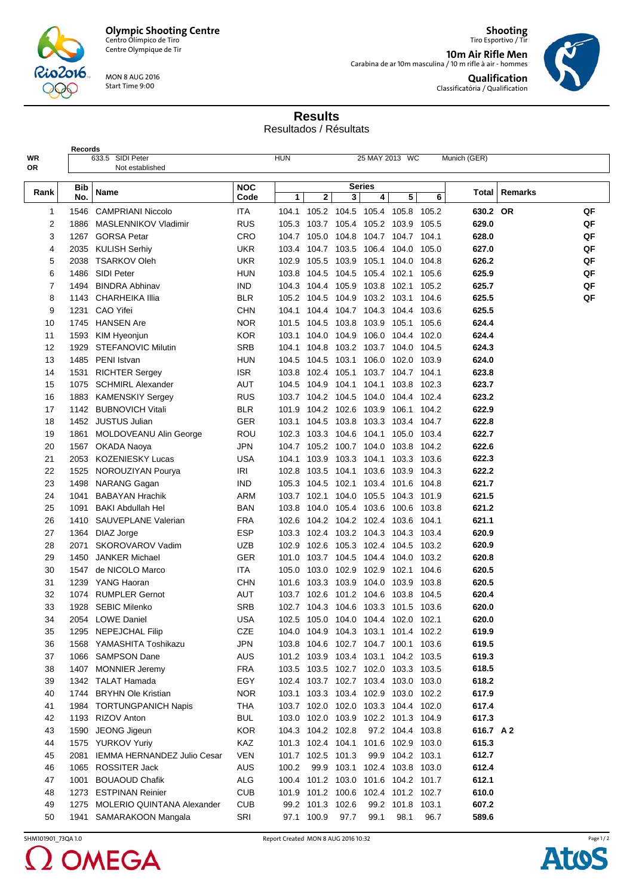



**Records**

Centre Olympique de Tir

MON 8 AUG 2016 Start Time 9:00

**Shooting** Tiro Esportivo / Tir **10m Air Rifle Men** Carabina de ar 10m masculina / 10 m rifle à air - hommes **Qualification**

Classificatória / Qualification



**Results**

Resultados / Résultats

| WR<br>OR       |            | 633.5 SIDI Peter<br><b>HUN</b><br>25 MAY 2013 WC<br>Munich (GER)<br>Not established |                    |       |                   |                                                                      |                         |                   |       |           |         |    |  |
|----------------|------------|-------------------------------------------------------------------------------------|--------------------|-------|-------------------|----------------------------------------------------------------------|-------------------------|-------------------|-------|-----------|---------|----|--|
|                |            |                                                                                     |                    |       |                   |                                                                      |                         |                   |       |           |         |    |  |
| Rank           | Bib<br>No. | Name                                                                                | <b>NOC</b><br>Code | 1     | $\mathbf{2}$      | 3                                                                    | <b>Series</b><br>4      | 5                 | 6     | Total     | Remarks |    |  |
| 1              |            | 1546 CAMPRIANI Niccolo                                                              | <b>ITA</b>         | 104.1 |                   | 105.2 104.5 105.4 105.8 105.2                                        |                         |                   |       | 630.2 OR  |         | QF |  |
| $\overline{c}$ | 1886       | MASLENNIKOV Vladimir                                                                | <b>RUS</b>         | 105.3 |                   | 103.7 105.4 105.2 103.9                                              |                         |                   | 105.5 | 629.0     |         | QF |  |
| 3              |            | 1267 GORSA Petar                                                                    | <b>CRO</b>         |       | 104.7 105.0       | 104.8 104.7 104.7 104.1                                              |                         |                   |       | 628.0     |         | QF |  |
| 4              |            | 2035 KULISH Serhiy                                                                  | <b>UKR</b>         | 103.4 |                   | 104.7 103.5 106.4 104.0                                              |                         |                   | 105.0 | 627.0     |         | QF |  |
| 5              | 2038       | <b>TSARKOV Oleh</b>                                                                 | <b>UKR</b>         | 102.9 | 105.5             | 103.9                                                                | 105.1                   | 104.0             | 104.8 | 626.2     |         | QF |  |
| 6              | 1486       | <b>SIDI Peter</b>                                                                   | <b>HUN</b>         | 103.8 | 104.5             | 104.5                                                                | 105.4                   | 102.1             | 105.6 | 625.9     |         | QF |  |
| $\overline{7}$ | 1494       | <b>BINDRA Abhinav</b>                                                               | <b>IND</b>         |       |                   | 104.3 104.4 105.9 103.8 102.1                                        |                         |                   | 105.2 | 625.7     |         | QF |  |
| 8              | 1143       | <b>CHARHEIKA Illia</b>                                                              | <b>BLR</b>         |       |                   | 105.2 104.5 104.9 103.2 103.1                                        |                         |                   | 104.6 | 625.5     |         | QF |  |
| 9              | 1231       | CAO Yifei                                                                           | <b>CHN</b>         | 104.1 |                   | 104.4 104.7 104.3 104.4 103.6                                        |                         |                   |       | 625.5     |         |    |  |
| 10             | 1745       | <b>HANSEN Are</b>                                                                   | <b>NOR</b>         | 101.5 |                   | 104.5 103.8 103.9 105.1 105.6                                        |                         |                   |       | 624.4     |         |    |  |
| 11             | 1593       | KIM Hyeonjun                                                                        | <b>KOR</b>         | 103.1 |                   | 104.0 104.9 106.0 104.4 102.0                                        |                         |                   |       | 624.4     |         |    |  |
| 12             | 1929       | <b>STEFANOVIC Milutin</b>                                                           | <b>SRB</b>         | 104.1 |                   | 104.8 103.2 103.7 104.0 104.5                                        |                         |                   |       | 624.3     |         |    |  |
| 13             |            | 1485 PENI Istvan                                                                    | <b>HUN</b>         | 104.5 | 104.5 103.1       |                                                                      |                         | 106.0 102.0 103.9 |       | 624.0     |         |    |  |
| 14             | 1531       | <b>RICHTER Sergey</b>                                                               | <b>ISR</b>         | 103.8 | 102.4             | 105.1                                                                |                         | 103.7 104.7 104.1 |       | 623.8     |         |    |  |
| 15             | 1075       | <b>SCHMIRL Alexander</b>                                                            | AUT                | 104.5 | 104.9             | 104.1                                                                | 104.1                   | 103.8 102.3       |       | 623.7     |         |    |  |
| 16             |            | 1883 KAMENSKIY Sergey                                                               | <b>RUS</b>         |       |                   | 103.7 104.2 104.5 104.0 104.4 102.4                                  |                         |                   |       | 623.2     |         |    |  |
| 17             |            | 1142 BUBNOVICH Vitali                                                               | <b>BLR</b>         | 101.9 |                   | 104.2 102.6 103.9 106.1 104.2                                        |                         |                   |       | 622.9     |         |    |  |
| 18             |            | 1452 JUSTUS Julian                                                                  | <b>GER</b>         | 103.1 | 104.5             | 103.8 103.3                                                          |                         | 103.4 104.7       |       | 622.8     |         |    |  |
| 19             | 1861       | MOLDOVEANU Alin George                                                              | ROU                | 102.3 | 103.3             | 104.6 104.1                                                          |                         | 105.0 103.4       |       | 622.7     |         |    |  |
| 20             |            | 1567 OKADA Naoya                                                                    | JPN                | 104.7 |                   | 105.2 100.7 104.0 103.8 104.2                                        |                         |                   |       | 622.6     |         |    |  |
| 21             | 2053       | <b>KOZENIESKY Lucas</b>                                                             | <b>USA</b>         | 104.1 | 103.9             | 103.3                                                                | 104.1                   | 103.3 103.6       |       | 622.3     |         |    |  |
| 22             | 1525       | NOROUZIYAN Pourya                                                                   | IRI                | 102.8 | 103.5             | 104.1                                                                | 103.6                   | 103.9             | 104.3 | 622.2     |         |    |  |
| 23             | 1498       | NARANG Gagan                                                                        | <b>IND</b>         |       | 105.3 104.5       | 102.1                                                                |                         | 103.4 101.6       | 104.8 | 621.7     |         |    |  |
| 24             | 1041       | <b>BABAYAN Hrachik</b>                                                              | ARM                |       | 103.7 102.1       |                                                                      | 104.0 105.5 104.3 101.9 |                   |       | 621.5     |         |    |  |
| 25             | 1091       | <b>BAKI Abdullah Hel</b>                                                            | BAN                | 103.8 |                   | 104.0 105.4 103.6 100.6 103.8                                        |                         |                   |       | 621.2     |         |    |  |
| 26             | 1410       | SAUVEPLANE Valerian                                                                 | <b>FRA</b>         | 102.6 |                   | 104.2 104.2 102.4 103.6 104.1                                        |                         |                   |       | 621.1     |         |    |  |
| 27             | 1364       | DIAZ Jorge                                                                          | <b>ESP</b>         | 103.3 |                   | 102.4 103.2 104.3 104.3 103.4                                        |                         |                   |       | 620.9     |         |    |  |
| 28             | 2071       | SKOROVAROV Vadim                                                                    | <b>UZB</b>         | 102.9 | 102.6             | 105.3 102.4 104.5 103.2                                              |                         |                   |       | 620.9     |         |    |  |
| 29             | 1450       | <b>JANKER Michael</b>                                                               | <b>GER</b>         | 101.0 |                   | 103.7 104.5 104.4 104.0 103.2                                        |                         |                   |       | 620.8     |         |    |  |
| 30             | 1547       | de NICOLO Marco                                                                     | ITA                | 105.0 | 103.0             | 102.9 102.9 102.1                                                    |                         |                   | 104.6 | 620.5     |         |    |  |
| 31             | 1239       | YANG Haoran                                                                         | <b>CHN</b>         | 101.6 |                   | 103.3 103.9 104.0 103.9 103.8                                        |                         |                   |       | 620.5     |         |    |  |
| 32             |            | 1074 RUMPLER Gernot                                                                 | AUT                |       |                   | 103.7 102.6 101.2 104.6 103.8 104.5                                  |                         |                   |       | 620.4     |         |    |  |
| 33             | 1928       | <b>SEBIC Milenko</b>                                                                | SRB                | 102.7 |                   | 104.3 104.6 103.3 101.5 103.6                                        |                         |                   |       | 620.0     |         |    |  |
| 34             |            | 2054 LOWE Daniel                                                                    | <b>USA</b>         |       |                   | 102.5 105.0 104.0 104.4 102.0 102.1                                  |                         |                   |       | 620.0     |         |    |  |
| 35             |            | 1295 NEPEJCHAL Filip                                                                | CZE                |       |                   | 104.0 104.9 104.3 103.1 101.4 102.2                                  |                         |                   |       | 619.9     |         |    |  |
| 36             |            | 1568 YAMASHITA Toshikazu                                                            | JPN                |       |                   | 103.8 104.6 102.7 104.7 100.1 103.6                                  |                         |                   |       | 619.5     |         |    |  |
| 37             |            | 1066 SAMPSON Dane                                                                   | <b>AUS</b>         |       |                   | 101.2 103.9 103.4 103.1 104.2 103.5                                  |                         |                   |       | 619.3     |         |    |  |
|                | 1407       | <b>MONNIER Jeremy</b>                                                               | <b>FRA</b>         |       |                   | 103.5 103.5 102.7 102.0 103.3 103.5                                  |                         |                   |       | 618.5     |         |    |  |
| 38             |            | 1342 TALAT Hamada                                                                   |                    |       |                   | 102.4 103.7 102.7 103.4 103.0 103.0                                  |                         |                   |       | 618.2     |         |    |  |
| 39             |            |                                                                                     | EGY                |       |                   |                                                                      |                         |                   |       |           |         |    |  |
| 40             | 1744       | <b>BRYHN Ole Kristian</b>                                                           | <b>NOR</b>         | 103.1 |                   | 103.3 103.4 102.9 103.0 102.2<br>103.7 102.0 102.0 103.3 104.4 102.0 |                         |                   |       | 617.9     |         |    |  |
| 41             |            | 1984 TORTUNGPANICH Napis                                                            | <b>THA</b>         |       |                   |                                                                      |                         |                   |       | 617.4     |         |    |  |
| 42             |            | 1193 RIZOV Anton                                                                    | <b>BUL</b>         |       |                   | 103.0 102.0 103.9 102.2 101.3 104.9                                  |                         |                   |       | 617.3     |         |    |  |
| 43             |            | 1590 JEONG Jigeun                                                                   | <b>KOR</b>         |       | 104.3 104.2 102.8 |                                                                      |                         | 97.2 104.4 103.8  |       | 616.7 A 2 |         |    |  |
| 44             |            | 1575 YURKOV Yuriy                                                                   | KAZ                |       |                   | 101.3 102.4 104.1 101.6 102.9 103.0                                  |                         |                   |       | 615.3     |         |    |  |
| 45             |            | 2081 IEMMA HERNANDEZ Julio Cesar                                                    | <b>VEN</b>         |       | 101.7 102.5 101.3 |                                                                      |                         | 99.9 104.2 103.1  |       | 612.7     |         |    |  |
| 46             |            | 1065 ROSSITER Jack                                                                  | <b>AUS</b>         | 100.2 |                   | 99.9 103.1 102.4 103.8 103.0                                         |                         |                   |       | 612.4     |         |    |  |
| 47             |            | 1001 BOUAOUD Chafik                                                                 | <b>ALG</b>         |       |                   | 100.4 101.2 103.0 101.6 104.2 101.7                                  |                         |                   |       | 612.1     |         |    |  |
| 48             |            | 1273 ESTPINAN Reinier                                                               | <b>CUB</b>         |       |                   | 101.9 101.2 100.6 102.4 101.2 102.7                                  |                         |                   |       | 610.0     |         |    |  |
| 49             |            | 1275 MOLERIO QUINTANA Alexander                                                     | <b>CUB</b>         |       | 99.2 101.3 102.6  |                                                                      |                         | 99.2 101.8 103.1  |       | 607.2     |         |    |  |
| 50             |            | 1941 SAMARAKOON Mangala                                                             | SRI                |       | 97.1 100.9        | 97.7                                                                 | 99.1                    | 98.1              | 96.7  | 589.6     |         |    |  |

2 OMEGA

SHM101901\_73QA 1.0 Report Created MON 8 AUG 2016 10:32